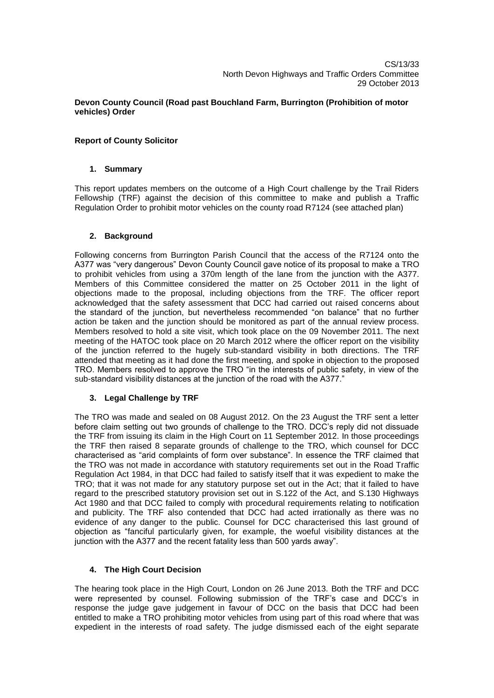#### **Devon County Council (Road past Bouchland Farm, Burrington (Prohibition of motor vehicles) Order**

# **Report of County Solicitor**

## **1. Summary**

This report updates members on the outcome of a High Court challenge by the Trail Riders Fellowship (TRF) against the decision of this committee to make and publish a Traffic Regulation Order to prohibit motor vehicles on the county road R7124 (see attached plan)

## **2. Background**

Following concerns from Burrington Parish Council that the access of the R7124 onto the A377 was "very dangerous" Devon County Council gave notice of its proposal to make a TRO to prohibit vehicles from using a 370m length of the lane from the junction with the A377. Members of this Committee considered the matter on 25 October 2011 in the light of objections made to the proposal, including objections from the TRF. The officer report acknowledged that the safety assessment that DCC had carried out raised concerns about the standard of the junction, but nevertheless recommended "on balance" that no further action be taken and the junction should be monitored as part of the annual review process. Members resolved to hold a site visit, which took place on the 09 November 2011. The next meeting of the HATOC took place on 20 March 2012 where the officer report on the visibility of the junction referred to the hugely sub-standard visibility in both directions. The TRF attended that meeting as it had done the first meeting, and spoke in objection to the proposed TRO. Members resolved to approve the TRO "in the interests of public safety, in view of the sub-standard visibility distances at the junction of the road with the A377."

## **3. Legal Challenge by TRF**

The TRO was made and sealed on 08 August 2012. On the 23 August the TRF sent a letter before claim setting out two grounds of challenge to the TRO. DCC's reply did not dissuade the TRF from issuing its claim in the High Court on 11 September 2012. In those proceedings the TRF then raised 8 separate grounds of challenge to the TRO, which counsel for DCC characterised as "arid complaints of form over substance". In essence the TRF claimed that the TRO was not made in accordance with statutory requirements set out in the Road Traffic Regulation Act 1984, in that DCC had failed to satisfy itself that it was expedient to make the TRO; that it was not made for any statutory purpose set out in the Act; that it failed to have regard to the prescribed statutory provision set out in S.122 of the Act, and S.130 Highways Act 1980 and that DCC failed to comply with procedural requirements relating to notification and publicity. The TRF also contended that DCC had acted irrationally as there was no evidence of any danger to the public. Counsel for DCC characterised this last ground of objection as "fanciful particularly given, for example, the woeful visibility distances at the junction with the A377 and the recent fatality less than 500 yards away".

## **4. The High Court Decision**

The hearing took place in the High Court, London on 26 June 2013. Both the TRF and DCC were represented by counsel. Following submission of the TRF's case and DCC's in response the judge gave judgement in favour of DCC on the basis that DCC had been entitled to make a TRO prohibiting motor vehicles from using part of this road where that was expedient in the interests of road safety. The judge dismissed each of the eight separate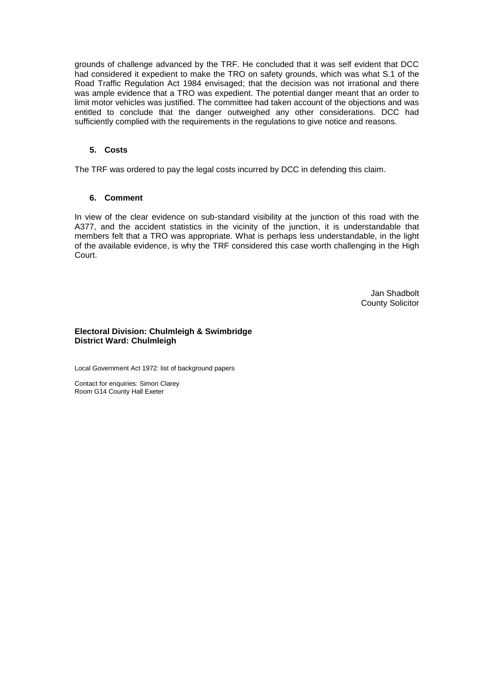grounds of challenge advanced by the TRF. He concluded that it was self evident that DCC had considered it expedient to make the TRO on safety grounds, which was what S.1 of the Road Traffic Regulation Act 1984 envisaged; that the decision was not irrational and there was ample evidence that a TRO was expedient. The potential danger meant that an order to limit motor vehicles was justified. The committee had taken account of the objections and was entitled to conclude that the danger outweighed any other considerations. DCC had sufficiently complied with the requirements in the regulations to give notice and reasons.

#### **5. Costs**

The TRF was ordered to pay the legal costs incurred by DCC in defending this claim.

#### **6. Comment**

In view of the clear evidence on sub-standard visibility at the junction of this road with the A377, and the accident statistics in the vicinity of the junction, it is understandable that members felt that a TRO was appropriate. What is perhaps less understandable, in the light of the available evidence, is why the TRF considered this case worth challenging in the High Court.

> Jan Shadbolt County Solicitor

#### **Electoral Division: Chulmleigh & Swimbridge District Ward: Chulmleigh**

Local Government Act 1972: list of background papers

Contact for enquiries: Simon Clarey Room G14 County Hall Exeter